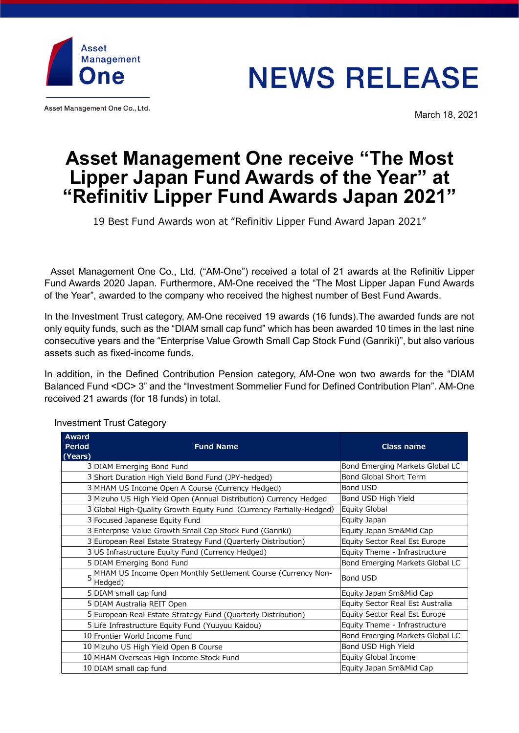

Asset Management One Co., Ltd.

# **NEWS RELEASE**

March 18, 2021

# **Asset Management One receive "The Most Lipper Japan Fund Awards of the Year" at "Refinitiv Lipper Fund Awards Japan 2021"**

19 Best Fund Awards won at "Refinitiv Lipper Fund Award Japan 2021"

Asset Management One Co., Ltd. ("AM-One") received a total of 21 awards at the Refinitiv Lipper Fund Awards 2020 Japan. Furthermore, AM-One received the "The Most Lipper Japan Fund Awards of the Year", awarded to the company who received the highest number of Best Fund Awards.

In the Investment Trust category, AM-One received 19 awards (16 funds).The awarded funds are not only equity funds, such as the "DIAM small cap fund" which has been awarded 10 times in the last nine consecutive years and the "Enterprise Value Growth Small Cap Stock Fund (Ganriki)", but also various assets such as fixed-income funds.

In addition, in the Defined Contribution Pension category, AM-One won two awards for the "DIAM Balanced Fund <DC> 3" and the "Investment Sommelier Fund for Defined Contribution Plan". AM-One received 21 awards (for 18 funds) in total.

| <b>Award</b><br><b>Period</b><br><b>Fund Name</b><br>(Years)              | Class name                       |
|---------------------------------------------------------------------------|----------------------------------|
| 3 DIAM Emerging Bond Fund                                                 | Bond Emerging Markets Global LC  |
| 3 Short Duration High Yield Bond Fund (JPY-hedged)                        | <b>Bond Global Short Term</b>    |
| 3 MHAM US Income Open A Course (Currency Hedged)                          | Bond USD                         |
| 3 Mizuho US High Yield Open (Annual Distribution) Currency Hedged         | Bond USD High Yield              |
| 3 Global High-Quality Growth Equity Fund (Currency Partially-Hedged)      | Equity Global                    |
| 3 Focused Japanese Equity Fund                                            | Equity Japan                     |
| 3 Enterprise Value Growth Small Cap Stock Fund (Ganriki)                  | Equity Japan Sm&Mid Cap          |
| 3 European Real Estate Strategy Fund (Quarterly Distribution)             | Equity Sector Real Est Europe    |
| 3 US Infrastructure Equity Fund (Currency Hedged)                         | Equity Theme - Infrastructure    |
| 5 DIAM Emerging Bond Fund                                                 | Bond Emerging Markets Global LC  |
| 5 MHAM US Income Open Monthly Settlement Course (Currency Non-<br>Hedged) | <b>Bond USD</b>                  |
| 5 DIAM small cap fund                                                     | Equity Japan Sm&Mid Cap          |
| 5 DIAM Australia REIT Open                                                | Equity Sector Real Est Australia |
| 5 European Real Estate Strategy Fund (Quarterly Distribution)             | Equity Sector Real Est Europe    |
| 5 Life Infrastructure Equity Fund (Yuuyuu Kaidou)                         | Equity Theme - Infrastructure    |
| 10 Frontier World Income Fund                                             | Bond Emerging Markets Global LC  |
| 10 Mizuho US High Yield Open B Course                                     | Bond USD High Yield              |
| 10 MHAM Overseas High Income Stock Fund                                   | Equity Global Income             |
| 10 DIAM small cap fund                                                    | Equity Japan Sm&Mid Cap          |

## Investment Trust Category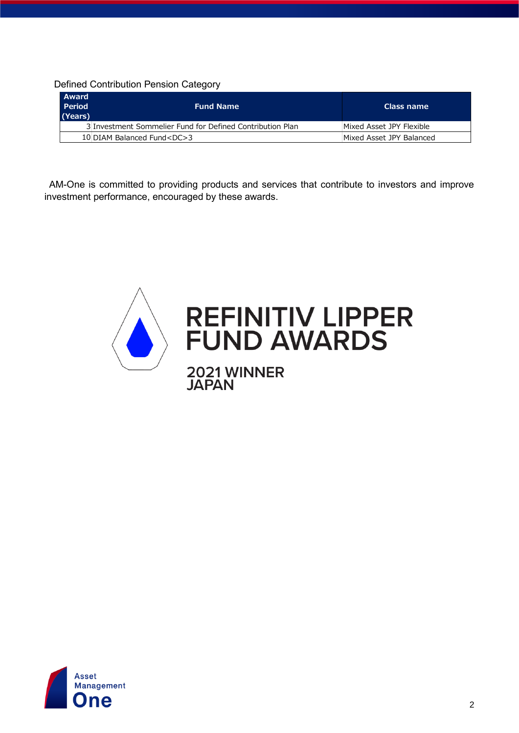Defined Contribution Pension Category

| <b>Award</b><br><b>Period</b><br>(Years) | <b>Fund Name</b>                                          | Class name               |
|------------------------------------------|-----------------------------------------------------------|--------------------------|
|                                          | 3 Investment Sommelier Fund for Defined Contribution Plan | Mixed Asset JPY Flexible |
|                                          | 10 DIAM Balanced Fund <dc>3</dc>                          | Mixed Asset JPY Balanced |

AM-One is committed to providing products and services that contribute to investors and improve investment performance, encouraged by these awards.